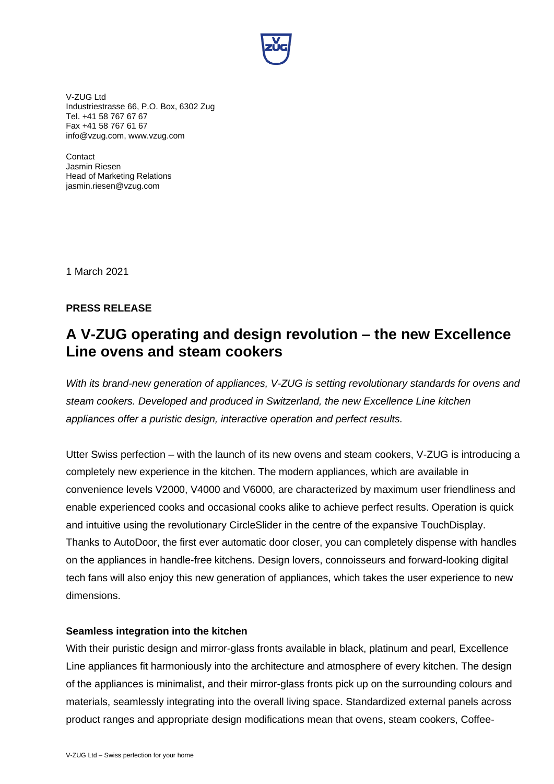

V-ZUG Ltd Industriestrasse 66, P.O. Box, 6302 Zug Tel. +41 58 767 67 67 Fax +41 58 767 61 67 info@vzug.com, www.vzug.com

**Contact** Jasmin Riesen Head of Marketing Relations jasmin.riesen@vzug.com

1 March 2021

## **PRESS RELEASE**

# **A V-ZUG operating and design revolution – the new Excellence Line ovens and steam cookers**

*With its brand-new generation of appliances, V-ZUG is setting revolutionary standards for ovens and steam cookers. Developed and produced in Switzerland, the new Excellence Line kitchen appliances offer a puristic design, interactive operation and perfect results.*

Utter Swiss perfection – with the launch of its new ovens and steam cookers, V-ZUG is introducing a completely new experience in the kitchen. The modern appliances, which are available in convenience levels V2000, V4000 and V6000, are characterized by maximum user friendliness and enable experienced cooks and occasional cooks alike to achieve perfect results. Operation is quick and intuitive using the revolutionary CircleSlider in the centre of the expansive TouchDisplay. Thanks to AutoDoor, the first ever automatic door closer, you can completely dispense with handles on the appliances in handle-free kitchens. Design lovers, connoisseurs and forward-looking digital tech fans will also enjoy this new generation of appliances, which takes the user experience to new dimensions.

## **Seamless integration into the kitchen**

With their puristic design and mirror-glass fronts available in black, platinum and pearl, Excellence Line appliances fit harmoniously into the architecture and atmosphere of every kitchen. The design of the appliances is minimalist, and their mirror-glass fronts pick up on the surrounding colours and materials, seamlessly integrating into the overall living space. Standardized external panels across product ranges and appropriate design modifications mean that ovens, steam cookers, Coffee-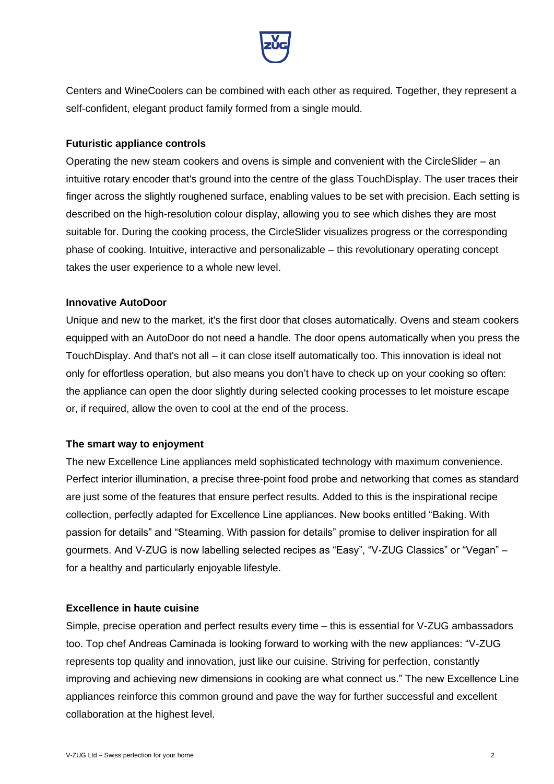

Centers and WineCoolers can be combined with each other as required. Together, they represent a self-confident, elegant product family formed from a single mould.

## **Futuristic appliance controls**

Operating the new steam cookers and ovens is simple and convenient with the CircleSlider – an intuitive rotary encoder that's ground into the centre of the glass TouchDisplay. The user traces their finger across the slightly roughened surface, enabling values to be set with precision. Each setting is described on the high-resolution colour display, allowing you to see which dishes they are most suitable for. During the cooking process, the CircleSlider visualizes progress or the corresponding phase of cooking. Intuitive, interactive and personalizable – this revolutionary operating concept takes the user experience to a whole new level.

### **Innovative AutoDoor**

Unique and new to the market, it's the first door that closes automatically. Ovens and steam cookers equipped with an AutoDoor do not need a handle. The door opens automatically when you press the TouchDisplay. And that's not all – it can close itself automatically too. This innovation is ideal not only for effortless operation, but also means you don't have to check up on your cooking so often: the appliance can open the door slightly during selected cooking processes to let moisture escape or, if required, allow the oven to cool at the end of the process.

#### **The smart way to enjoyment**

The new Excellence Line appliances meld sophisticated technology with maximum convenience. Perfect interior illumination, a precise three-point food probe and networking that comes as standard are just some of the features that ensure perfect results. Added to this is the inspirational recipe collection, perfectly adapted for Excellence Line appliances. New books entitled "Baking. With passion for details" and "Steaming. With passion for details" promise to deliver inspiration for all gourmets. And V-ZUG is now labelling selected recipes as "Easy", "V-ZUG Classics" or "Vegan" – for a healthy and particularly enjoyable lifestyle.

## **Excellence in haute cuisine**

Simple, precise operation and perfect results every time – this is essential for V-ZUG ambassadors too. Top chef Andreas Caminada is looking forward to working with the new appliances: "V-ZUG represents top quality and innovation, just like our cuisine. Striving for perfection, constantly improving and achieving new dimensions in cooking are what connect us." The new Excellence Line appliances reinforce this common ground and pave the way for further successful and excellent collaboration at the highest level.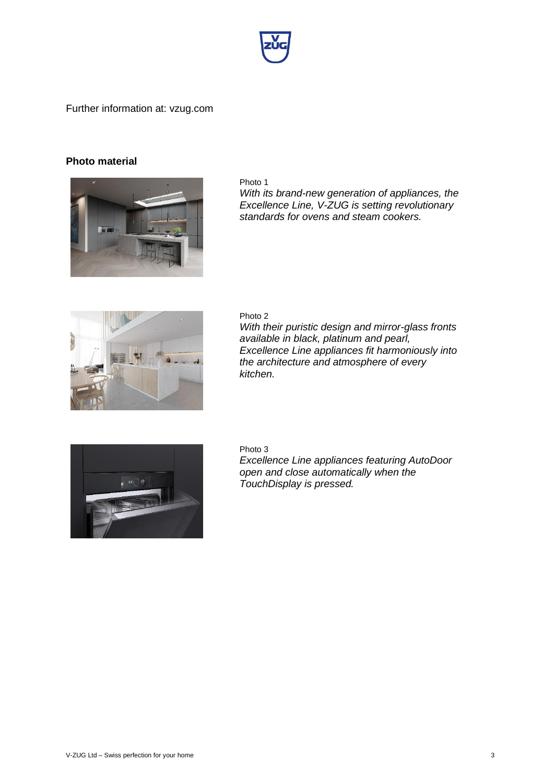

Further information at: vzug.com

## **Photo material**



Photo 1

*With its brand-new generation of appliances, the Excellence Line, V-ZUG is setting revolutionary standards for ovens and steam cookers.*



Photo 2 *With their puristic design and mirror-glass fronts available in black, platinum and pearl, Excellence Line appliances fit harmoniously into the architecture and atmosphere of every kitchen.*



Photo 3

*Excellence Line appliances featuring AutoDoor open and close automatically when the TouchDisplay is pressed.*